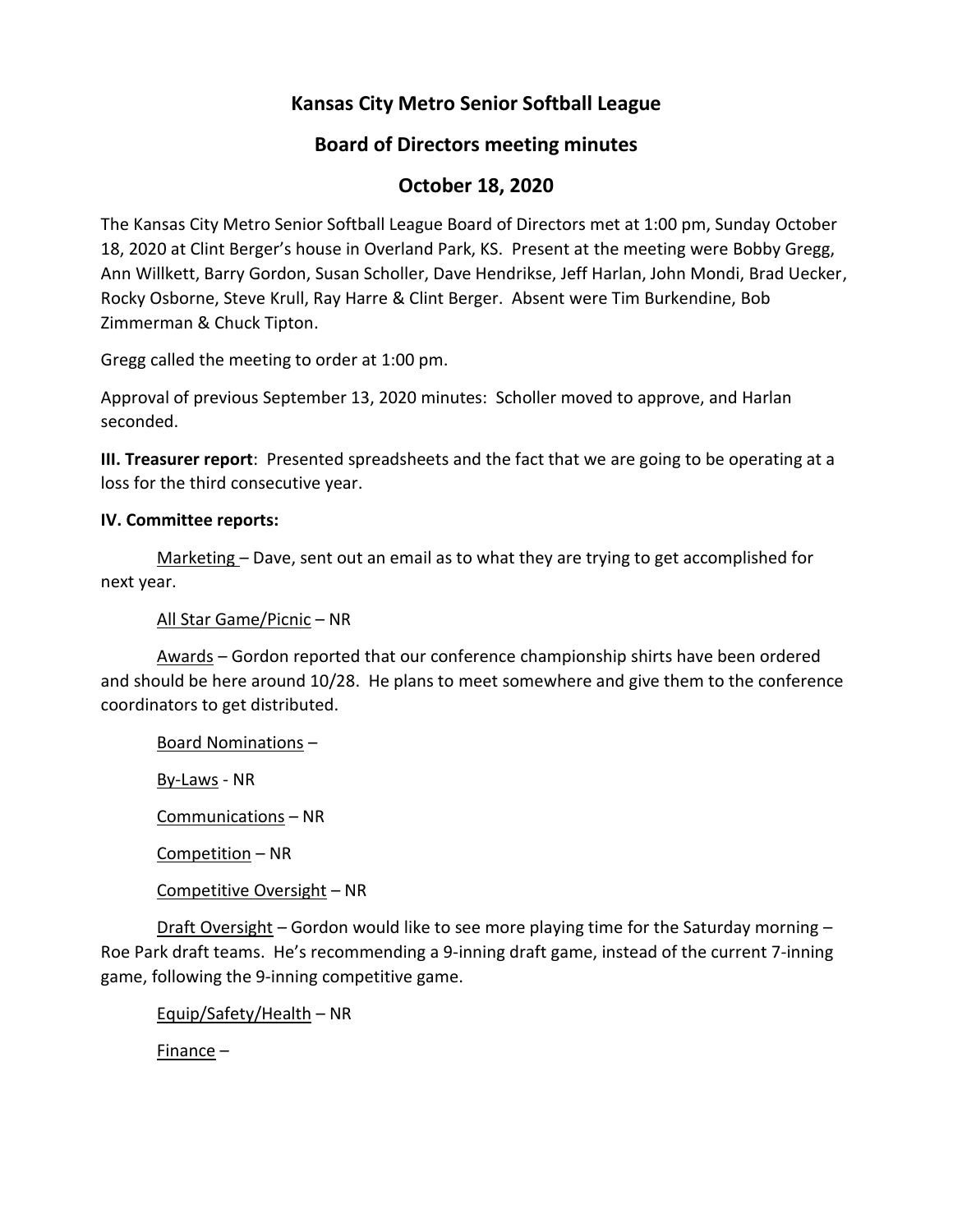# **Kansas City Metro Senior Softball League**

## **Board of Directors meeting minutes**

## **October 18, 2020**

The Kansas City Metro Senior Softball League Board of Directors met at 1:00 pm, Sunday October 18, 2020 at Clint Berger's house in Overland Park, KS. Present at the meeting were Bobby Gregg, Ann Willkett, Barry Gordon, Susan Scholler, Dave Hendrikse, Jeff Harlan, John Mondi, Brad Uecker, Rocky Osborne, Steve Krull, Ray Harre & Clint Berger. Absent were Tim Burkendine, Bob Zimmerman & Chuck Tipton.

Gregg called the meeting to order at 1:00 pm.

Approval of previous September 13, 2020 minutes: Scholler moved to approve, and Harlan seconded.

**III. Treasurer report**: Presented spreadsheets and the fact that we are going to be operating at a loss for the third consecutive year.

## **IV. Committee reports:**

Marketing – Dave, sent out an email as to what they are trying to get accomplished for next year.

All Star Game/Picnic – NR

Awards – Gordon reported that our conference championship shirts have been ordered and should be here around 10/28. He plans to meet somewhere and give them to the conference coordinators to get distributed.

Board Nominations –

By-Laws - NR

Communications – NR

Competition – NR

Competitive Oversight – NR

Draft Oversight – Gordon would like to see more playing time for the Saturday morning – Roe Park draft teams. He's recommending a 9-inning draft game, instead of the current 7-inning game, following the 9-inning competitive game.

Equip/Safety/Health – NR

Finance –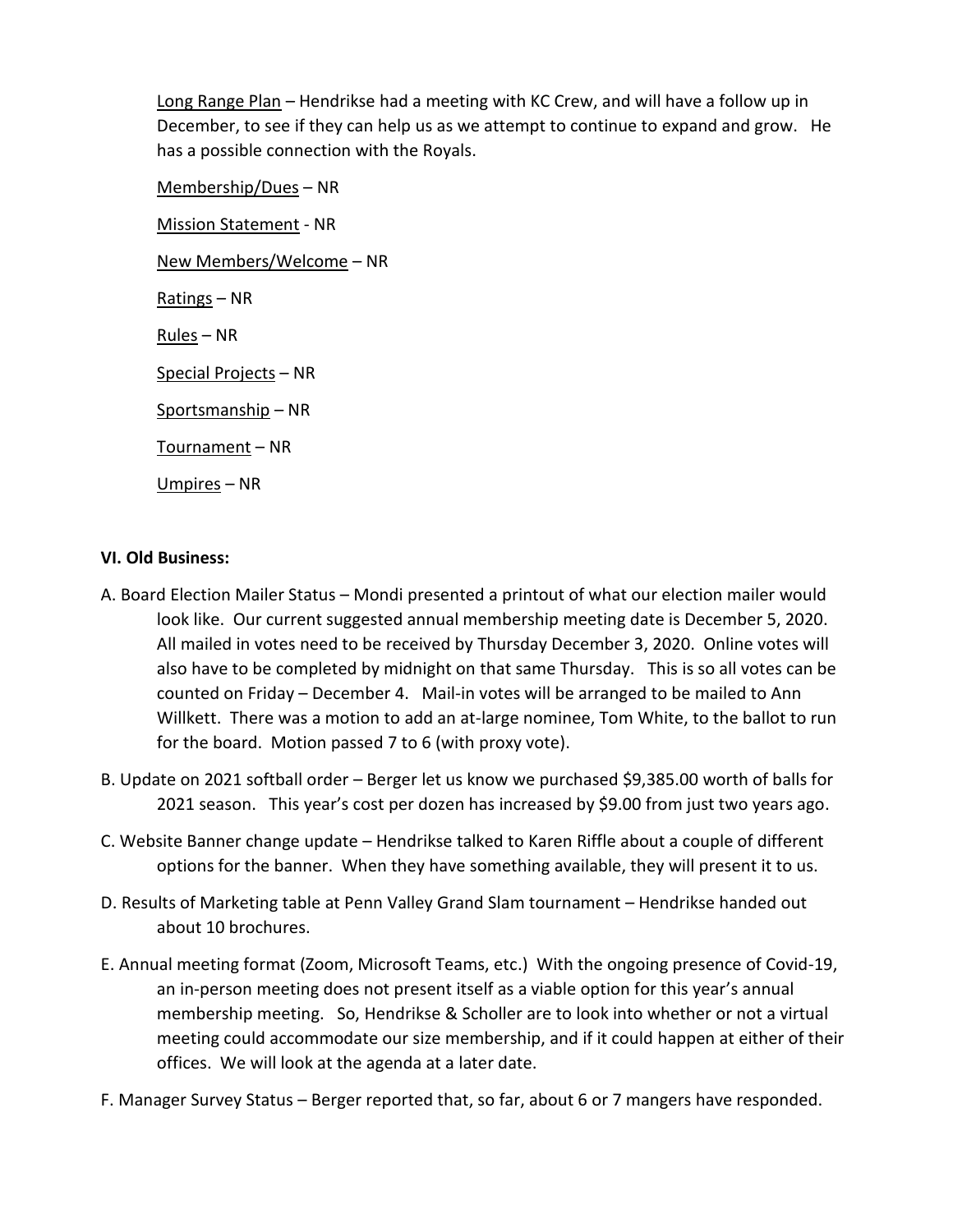Long Range Plan – Hendrikse had a meeting with KC Crew, and will have a follow up in December, to see if they can help us as we attempt to continue to expand and grow. He has a possible connection with the Royals.

Membership/Dues – NR Mission Statement - NR New Members/Welcome – NR Ratings – NR Rules – NR Special Projects – NR Sportsmanship – NR Tournament – NR Umpires – NR

## **VI. Old Business:**

- A. Board Election Mailer Status Mondi presented a printout of what our election mailer would look like. Our current suggested annual membership meeting date is December 5, 2020. All mailed in votes need to be received by Thursday December 3, 2020. Online votes will also have to be completed by midnight on that same Thursday. This is so all votes can be counted on Friday – December 4. Mail-in votes will be arranged to be mailed to Ann Willkett. There was a motion to add an at-large nominee, Tom White, to the ballot to run for the board. Motion passed 7 to 6 (with proxy vote).
- B. Update on 2021 softball order Berger let us know we purchased \$9,385.00 worth of balls for 2021 season. This year's cost per dozen has increased by \$9.00 from just two years ago.
- C. Website Banner change update Hendrikse talked to Karen Riffle about a couple of different options for the banner. When they have something available, they will present it to us.
- D. Results of Marketing table at Penn Valley Grand Slam tournament Hendrikse handed out about 10 brochures.
- E. Annual meeting format (Zoom, Microsoft Teams, etc.) With the ongoing presence of Covid-19, an in-person meeting does not present itself as a viable option for this year's annual membership meeting. So, Hendrikse & Scholler are to look into whether or not a virtual meeting could accommodate our size membership, and if it could happen at either of their offices. We will look at the agenda at a later date.
- F. Manager Survey Status Berger reported that, so far, about 6 or 7 mangers have responded.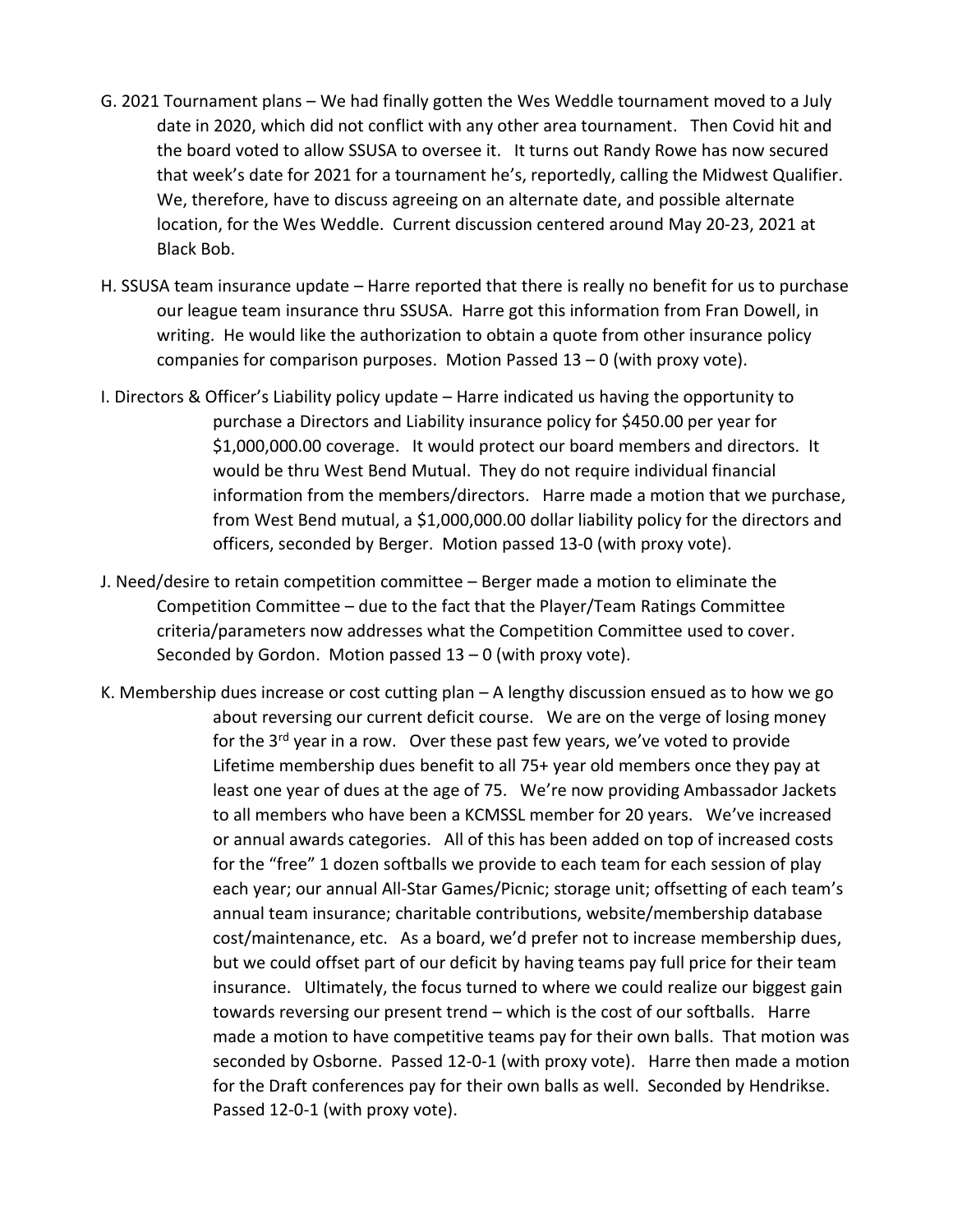- G. 2021 Tournament plans We had finally gotten the Wes Weddle tournament moved to a July date in 2020, which did not conflict with any other area tournament. Then Covid hit and the board voted to allow SSUSA to oversee it. It turns out Randy Rowe has now secured that week's date for 2021 for a tournament he's, reportedly, calling the Midwest Qualifier. We, therefore, have to discuss agreeing on an alternate date, and possible alternate location, for the Wes Weddle. Current discussion centered around May 20-23, 2021 at Black Bob.
- H. SSUSA team insurance update Harre reported that there is really no benefit for us to purchase our league team insurance thru SSUSA. Harre got this information from Fran Dowell, in writing. He would like the authorization to obtain a quote from other insurance policy companies for comparison purposes. Motion Passed  $13 - 0$  (with proxy vote).
- I. Directors & Officer's Liability policy update Harre indicated us having the opportunity to purchase a Directors and Liability insurance policy for \$450.00 per year for \$1,000,000.00 coverage. It would protect our board members and directors. It would be thru West Bend Mutual. They do not require individual financial information from the members/directors. Harre made a motion that we purchase, from West Bend mutual, a \$1,000,000.00 dollar liability policy for the directors and officers, seconded by Berger. Motion passed 13-0 (with proxy vote).
- J. Need/desire to retain competition committee Berger made a motion to eliminate the Competition Committee – due to the fact that the Player/Team Ratings Committee criteria/parameters now addresses what the Competition Committee used to cover. Seconded by Gordon. Motion passed  $13 - 0$  (with proxy vote).
- K. Membership dues increase or cost cutting plan A lengthy discussion ensued as to how we go about reversing our current deficit course. We are on the verge of losing money for the 3<sup>rd</sup> year in a row. Over these past few years, we've voted to provide Lifetime membership dues benefit to all 75+ year old members once they pay at least one year of dues at the age of 75. We're now providing Ambassador Jackets to all members who have been a KCMSSL member for 20 years. We've increased or annual awards categories. All of this has been added on top of increased costs for the "free" 1 dozen softballs we provide to each team for each session of play each year; our annual All-Star Games/Picnic; storage unit; offsetting of each team's annual team insurance; charitable contributions, website/membership database cost/maintenance, etc. As a board, we'd prefer not to increase membership dues, but we could offset part of our deficit by having teams pay full price for their team insurance. Ultimately, the focus turned to where we could realize our biggest gain towards reversing our present trend – which is the cost of our softballs. Harre made a motion to have competitive teams pay for their own balls. That motion was seconded by Osborne. Passed 12-0-1 (with proxy vote). Harre then made a motion for the Draft conferences pay for their own balls as well. Seconded by Hendrikse. Passed 12-0-1 (with proxy vote).